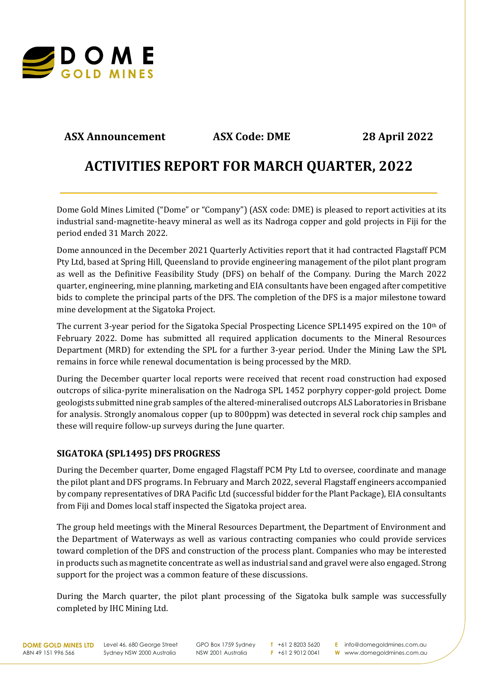

# **ASX Announcement ASX Code: DME 28 April 2022**

# **ACTIVITIES REPORT FOR MARCH QUARTER, 2022**

**\_\_\_\_\_\_\_\_\_\_\_\_\_\_\_\_\_\_\_\_\_\_\_\_\_\_\_\_\_\_\_\_\_\_\_\_\_\_\_\_\_\_\_\_\_\_\_\_\_\_\_\_\_\_\_\_\_\_\_\_\_\_\_\_\_\_\_\_\_\_\_\_\_\_\_\_\_\_\_\_\_\_\_\_\_\_**

Dome Gold Mines Limited ("Dome" or "Company") (ASX code: DME) is pleased to report activities at its industrial sand-magnetite-heavy mineral as well as its Nadroga copper and gold projects in Fiji for the period ended 31 March 2022.

Dome announced in the December 2021 Quarterly Activities report that it had contracted Flagstaff PCM Pty Ltd, based at Spring Hill, Queensland to provide engineering management of the pilot plant program as well as the Definitive Feasibility Study (DFS) on behalf of the Company. During the March 2022 quarter, engineering, mine planning, marketing and EIA consultants have been engaged after competitive bids to complete the principal parts of the DFS. The completion of the DFS is a major milestone toward mine development at the Sigatoka Project.

The current 3-year period for the Sigatoka Special Prospecting Licence SPL1495 expired on the 10th of February 2022. Dome has submitted all required application documents to the Mineral Resources Department (MRD) for extending the SPL for a further 3-year period. Under the Mining Law the SPL remains in force while renewal documentation is being processed by the MRD.

During the December quarter local reports were received that recent road construction had exposed outcrops of silica-pyrite mineralisation on the Nadroga SPL 1452 porphyry copper-gold project. Dome geologists submitted nine grab samples of the altered-mineralised outcrops ALS Laboratories in Brisbane for analysis. Strongly anomalous copper (up to 800ppm) was detected in several rock chip samples and these will require follow-up surveys during the June quarter.

# **SIGATOKA (SPL1495) DFS PROGRESS**

During the December quarter, Dome engaged Flagstaff PCM Pty Ltd to oversee, coordinate and manage the pilot plant and DFS programs. In February and March 2022, several Flagstaff engineers accompanied by company representatives of DRA Pacific Ltd (successful bidder for the Plant Package), EIA consultants from Fiji and Domes local staff inspected the Sigatoka project area.

The group held meetings with the Mineral Resources Department, the Department of Environment and the Department of Waterways as well as various contracting companies who could provide services toward completion of the DFS and construction of the process plant. Companies who may be interested in products such as magnetite concentrate as well as industrial sand and gravel were also engaged. Strong support for the project was a common feature of these discussions.

During the March quarter, the pilot plant processing of the Sigatoka bulk sample was successfully completed by IHC Mining Ltd.

**DOME GOLD MINES LTD** ABN 49 151 996 566

Level 46, 680 George Street Sydney NSW 2000 Australia

GPO Box 1759 Sydney NSW 2001 Australia

**T** +61 2 8203 5620 **F** +61 2 9012 0041 **E** info@domegoldmines.com.au **W** www.domegoldmines.com.au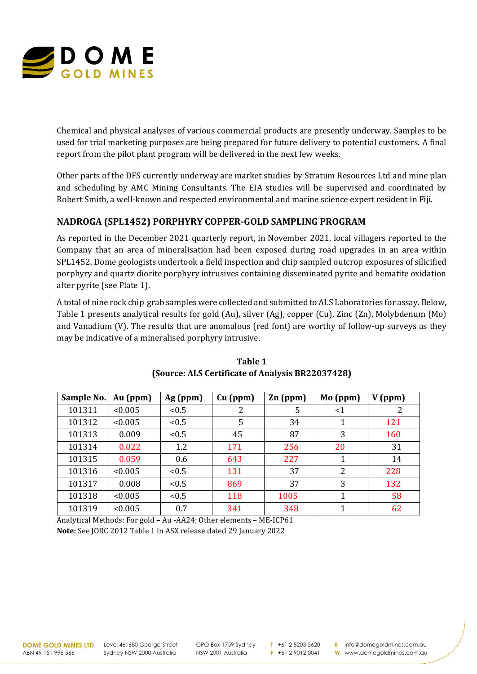

Chemical and physical analyses of various commercial products are presently underway. Samples to be used for trial marketing purposes are being prepared for future delivery to potential customers. A final report from the pilot plant program will be delivered in the next few weeks.

Other parts of the DFS currently underway are market studies by Stratum Resources Ltd and mine plan and scheduling by AMC Mining Consultants. The EIA studies will be supervised and coordinated by Robert Smith, a well-known and respected environmental and marine science expert resident in Fiji.

# **NADROGA (SPL1452) PORPHYRY COPPER-GOLD SAMPLING PROGRAM**

As reported in the December 2021 quarterly report, in November 2021, local villagers reported to the Company that an area of mineralisation had been exposed during road upgrades in an area within SPL1452. Dome geologists undertook a field inspection and chip sampled outcrop exposures of silicified porphyry and quartz diorite porphyry intrusives containing disseminated pyrite and hematite oxidation after pyrite (see Plate 1).

A total of nine rock chip grab samples were collected and submitted to ALS Laboratories for assay. Below, Table 1 presents analytical results for gold (Au), silver (Ag), copper (Cu), Zinc (Zn), Molybdenum (Mo) and Vanadium (V). The results that are anomalous (red font) are worthy of follow-up surveys as they may be indicative of a mineralised porphyry intrusive.

| Sample No. | Au (ppm) | Ag (ppm) | $Cu$ (ppm) | $Zn$ (ppm) | Mo (ppm) | V(ppm) |
|------------|----------|----------|------------|------------|----------|--------|
| 101311     | < 0.005  | < 0.5    | 2          | 5          | $<$ 1    |        |
| 101312     | < 0.005  | < 0.5    | 5          | 34         |          | 121    |
| 101313     | 0.009    | < 0.5    | 45         | 87         | 3        | 160    |
| 101314     | 0.022    | 1.2      | 171        | 256        | 20       | 31     |
| 101315     | 0.059    | 0.6      | 643        | 227        |          | 14     |
| 101316     | < 0.005  | < 0.5    | 131        | 37         | 2        | 228    |
| 101317     | 0.008    | < 0.5    | 869        | 37         | 3        | 132    |
| 101318     | < 0.005  | < 0.5    | 118        | 1005       |          | 58     |
| 101319     | < 0.005  | 0.7      | 341        | 348        |          | 62     |

### **Table 1 (Source: ALS Certificate of Analysis BR22037428)**

Analytical Methods: For gold – Au -AA24; Other elements – ME-ICP61 **Note:** See JORC 2012 Table 1 in ASX release dated 29 January 2022

**DOME GOLD MINES LTD** ABN 49 151 996 566

Level 46, 680 George Street Sydney NSW 2000 Australia

GPO Box 1759 Sydney NSW 2001 Australia

**T** +61 2 8203 5620 **F** +61 2 9012 0041 **E** info@domegoldmines.com.au **W** www.domegoldmines.com.au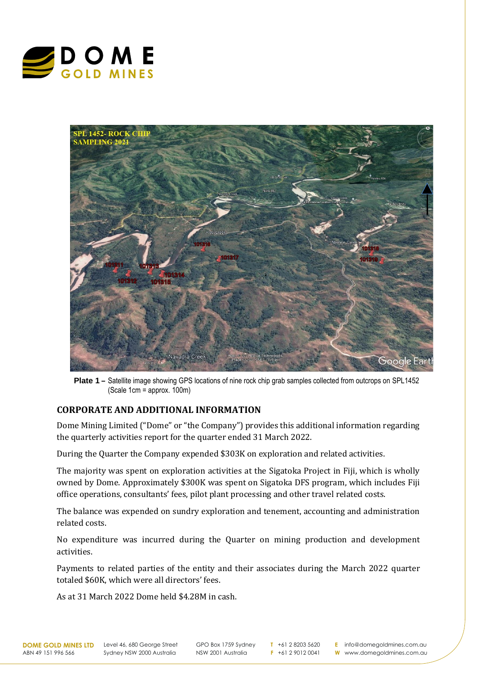



**Plate 1 –** Satellite image showing GPS locations of nine rock chip grab samples collected from outcrops on SPL1452 (Scale 1cm = approx. 100m)

## **CORPORATE AND ADDITIONAL INFORMATION**

Dome Mining Limited ("Dome" or "the Company") provides this additional information regarding the quarterly activities report for the quarter ended 31 March 2022.

During the Quarter the Company expended \$303K on exploration and related activities.

The majority was spent on exploration activities at the Sigatoka Project in Fiji, which is wholly owned by Dome. Approximately \$300K was spent on Sigatoka DFS program, which includes Fiji office operations, consultants' fees, pilot plant processing and other travel related costs.

The balance was expended on sundry exploration and tenement, accounting and administration related costs.

No expenditure was incurred during the Quarter on mining production and development activities.

Payments to related parties of the entity and their associates during the March 2022 quarter totaled \$60K, which were all directors' fees.

As at 31 March 2022 Dome held \$4.28M in cash.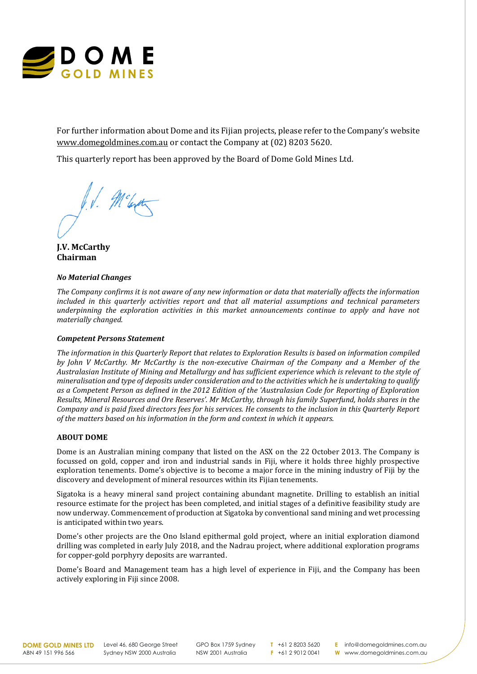

For further information about Dome and its Fijian projects, please refer to the Company's website [www.domegoldmines.com.au](about:blank) or contact the Company at (02) 8203 5620.

This quarterly report has been approved by the Board of Dome Gold Mines Ltd.

Melerot

**J.V. McCarthy Chairman**

#### *No Material Changes*

*The Company confirms it is not aware of any new information or data that materially affects the information included in this quarterly activities report and that all material assumptions and technical parameters underpinning the exploration activities in this market announcements continue to apply and have not materially changed.*

#### *Competent Persons Statement*

*The information in this Quarterly Report that relates to Exploration Results is based on information compiled by John V McCarthy. Mr McCarthy is the non-executive Chairman of the Company and a Member of the Australasian Institute of Mining and Metallurgy and has sufficient experience which is relevant to the style of mineralisation and type of deposits under consideration and to the activities which he is undertaking to qualify as a Competent Person as defined in the 2012 Edition of the 'Australasian Code for Reporting of Exploration Results, Mineral Resources and Ore Reserves'. Mr McCarthy, through his family Superfund, holds shares in the Company and is paid fixed directors fees for his services. He consents to the inclusion in this Quarterly Report of the matters based on his information in the form and context in which it appears.*

#### **ABOUT DOME**

Dome is an Australian mining company that listed on the ASX on the 22 October 2013. The Company is focussed on gold, copper and iron and industrial sands in Fiji, where it holds three highly prospective exploration tenements. Dome's objective is to become a major force in the mining industry of Fiji by the discovery and development of mineral resources within its Fijian tenements.

Sigatoka is a heavy mineral sand project containing abundant magnetite. Drilling to establish an initial resource estimate for the project has been completed, and initial stages of a definitive feasibility study are now underway. Commencement of production at Sigatoka by conventional sand mining and wet processing is anticipated within two years.

Dome's other projects are the Ono Island epithermal gold project, where an initial exploration diamond drilling was completed in early July 2018, and the Nadrau project, where additional exploration programs for copper-gold porphyry deposits are warranted.

Dome's Board and Management team has a high level of experience in Fiji, and the Company has been actively exploring in Fiji since 2008.

**DOME GOLD MINES LTD** ABN 49 151 996 566

Level 46, 680 George Street Sydney NSW 2000 Australia

GPO Box 1759 Sydney NSW 2001 Australia

**T** +61 2 8203 5620 **F** +61 2 9012 0041 **E** info@domegoldmines.com.au **W** www.domegoldmines.com.au